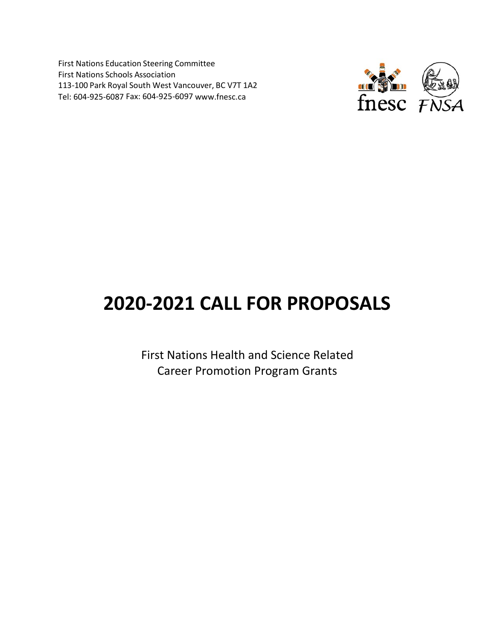First Nations Education Steering Committee First Nations Schools Association 113-100 Park Royal South West Vancouver, BC V7T 1A2 Tel: 604-925-6087 Fax: 604-925-6097 [www.fnesc.ca](http://www.fnesc.ca/)



# **2020-2021 CALL FOR PROPOSALS**

First Nations Health and Science Related Career Promotion Program Grants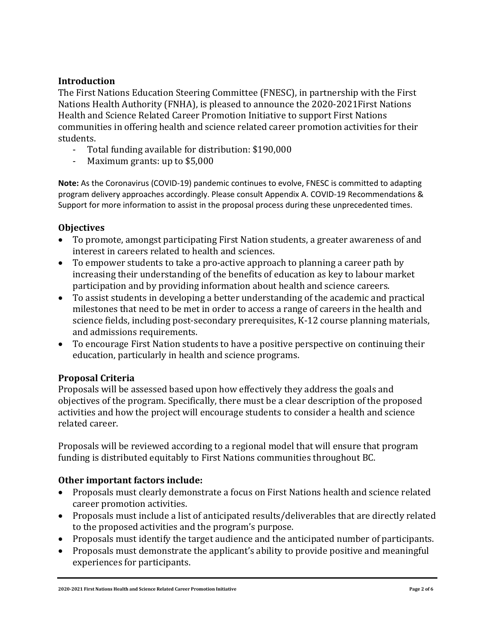## **Introduction**

The First Nations Education Steering Committee (FNESC), in partnership with the First Nations Health Authority (FNHA), is pleased to announce the 2020-2021First Nations Health and Science Related Career Promotion Initiative to support First Nations communities in offering health and science related career promotion activities for their students.<br>To

- Total funding available for distribution: \$190,000
- Maximum grants: up to \$5,000

**Note:** As the Coronavirus (COVID-19) pandemic continues to evolve, FNESC is committed to adapting program delivery approaches accordingly. Please consult Appendix A. COVID-19 Recommendations & Support for more information to assist in the proposal process during these unprecedented times.

### **Objectives**

- To promote, amongst participating First Nation students, a greater awareness of and interest in careers related to health and sciences.
- To empower students to take a pro-active approach to planning a career path by increasing their understanding of the benefits of education as key to labour market participation and by providing information about health and science careers.
- To assist students in developing a better understanding of the academic and practical milestones that need to be met in order to access a range of careers in the health and science fields, including post-secondary prerequisites, K-12 course planning materials, and admissions requirements.
- To encourage First Nation students to have a positive perspective on continuing their education, particularly in health and science programs.

### **Proposal Criteria**

Proposals will be assessed based upon how effectively they address the goals and objectives of the program. Specifically, there must be a clear description of the proposed activities and how the project will encourage students to consider a health and science related career.

Proposals will be reviewed according to a regional model that will ensure that program funding is distributed equitably to First Nations communities throughout BC.

### **Other important factors include:**

- Proposals must clearly demonstrate a focus on First Nations health and science related career promotion activities.
- Proposals must include a list of anticipated results/deliverables that are directly related to the proposed activities and the program's purpose.
- Proposals must identify the target audience and the anticipated number of participants.
- Proposals must demonstrate the applicant's ability to provide positive and meaningful experiences for participants.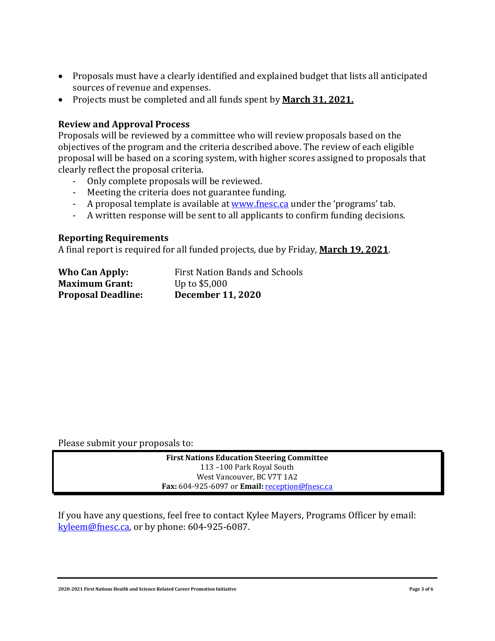- Proposals must have a clearly identified and explained budget that lists all anticipated sources of revenue and expenses.
- Projects must be completed and all funds spent by **March 31, 2021.**

#### **Review and Approval Process**

Proposals will be reviewed by a committee who will review proposals based on the objectives of the program and the criteria described above. The review of each eligible proposal will be based on a scoring system, with higher scores assigned to proposals that clearly reflect the proposal criteria.

- Only complete proposals will be reviewed.<br>- Meeting the criteria does not guarantee fur
- Meeting the criteria does not guarantee funding.
- A proposal template is available at <u>www.fnesc.ca</u> under the 'programs' tab.
- A written response will be sent to all applicants to confirm funding decisions.

#### **Reporting Requirements**

A final report is required for all funded projects, due by Friday, **March 19, 2021**.

| <b>Who Can Apply:</b>     | <b>First Nation Bands and Schools</b> |
|---------------------------|---------------------------------------|
| <b>Maximum Grant:</b>     | Up to $$5,000$                        |
| <b>Proposal Deadline:</b> | <b>December 11, 2020</b>              |

Please submit your proposals to:

**First Nations Education Steering Committee** 113 –100 Park Royal South West Vancouver, BC V7T 1A2 **Fax:** 604-925-6097 or **Email:** [reception@fnesc.ca](mailto:reception@fnesc.ca)

If you have any questions, feel free to contact Kylee Mayers, Programs Officer by email: [kyleem@fnesc.ca,](mailto:kyleem@fnesc.ca) or by phone: 604-925-6087.

**2020-2021 First Nations Health and Science Related Career Promotion Initiative Page 3 of 6**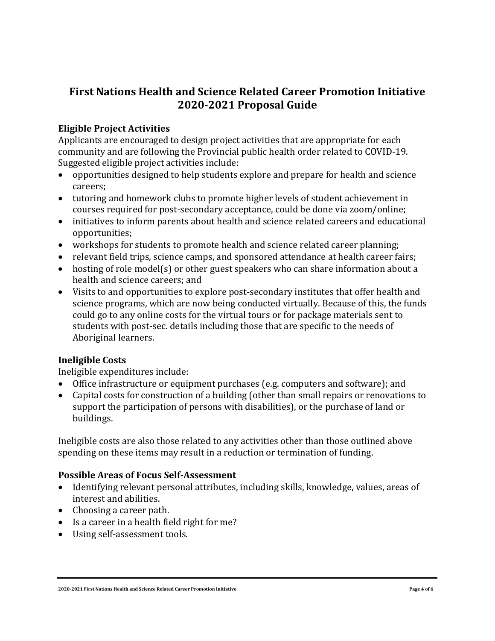# **First Nations Health and Science Related Career Promotion Initiative 2020-2021 Proposal Guide**

# **Eligible Project Activities**

Applicants are encouraged to design project activities that are appropriate for each community and are following the Provincial public health order related to COVID-19. Suggested eligible project activities include:

- opportunities designed to help students explore and prepare for health and science careers;
- tutoring and homework clubs to promote higher levels of student achievement in courses required for post-secondary acceptance, could be done via zoom/online;
- initiatives to inform parents about health and science related careers and educational opportunities;
- workshops for students to promote health and science related career planning;
- relevant field trips, science camps, and sponsored attendance at health career fairs;
- hosting of role model(s) or other guest speakers who can share information about a health and science careers; and
- Visits to and opportunities to explore post-secondary institutes that offer health and science programs, which are now being conducted virtually. Because of this, the funds could go to any online costs for the virtual tours or for package materials sent to students with post-sec. details including those that are specific to the needs of Aboriginal learners.

### **Ineligible Costs**

Ineligible expenditures include:

- Office infrastructure or equipment purchases (e.g. computers and software); and
- Capital costs for construction of a building (other than small repairs or renovations to support the participation of persons with disabilities), or the purchase of land or buildings.

Ineligible costs are also those related to any activities other than those outlined above spending on these items may result in a reduction or termination of funding.

### **Possible Areas of Focus Self-Assessment**

- Identifying relevant personal attributes, including skills, knowledge, values, areas of interest and abilities.
- Choosing a career path.
- Is a career in a health field right for me?
- Using self-assessment tools.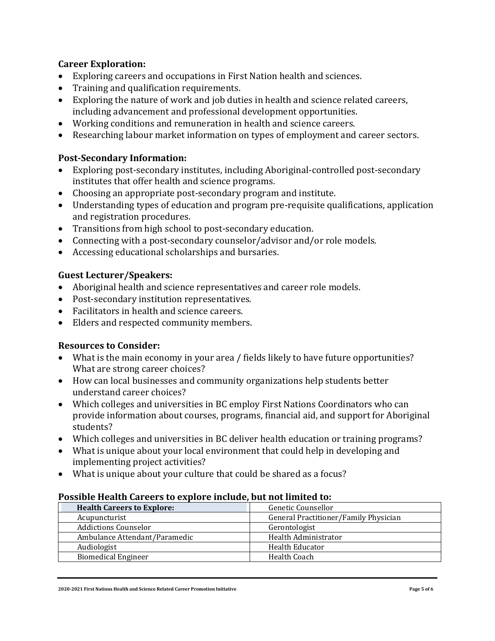### **Career Exploration:**

- Exploring careers and occupations in First Nation health and sciences.
- Training and qualification requirements.
- Exploring the nature of work and job duties in health and science related careers, including advancement and professional development opportunities.
- Working conditions and remuneration in health and science careers.
- Researching labour market information on types of employment and career sectors.

### **Post-Secondary Information:**

- Exploring post-secondary institutes, including Aboriginal-controlled post-secondary institutes that offer health and science programs.
- Choosing an appropriate post-secondary program and institute.
- Understanding types of education and program pre-requisite qualifications, application and registration procedures.
- Transitions from high school to post-secondary education.
- Connecting with a post-secondary counselor/advisor and/or role models.
- Accessing educational scholarships and bursaries.

### **Guest Lecturer/Speakers:**

- Aboriginal health and science representatives and career role models.
- Post-secondary institution representatives.
- Facilitators in health and science careers.
- Elders and respected community members.

### **Resources to Consider:**

- What is the main economy in your area / fields likely to have future opportunities? What are strong career choices?
- How can local businesses and community organizations help students better understand career choices?
- Which colleges and universities in BC employ First Nations Coordinators who can provide information about courses, programs, financial aid, and support for Aboriginal students?
- Which colleges and universities in BC deliver health education or training programs?
- What is unique about your local environment that could help in developing and implementing project activities?
- What is unique about your culture that could be shared as a focus?

#### **Possible Health Careers to explore include, but not limited to:**

| <b>Health Careers to Explore:</b> | Genetic Counsellor                    |
|-----------------------------------|---------------------------------------|
| Acupuncturist                     | General Practitioner/Family Physician |
| <b>Addictions Counselor</b>       | Gerontologist                         |
| Ambulance Attendant/Paramedic     | Health Administrator                  |
| Audiologist                       | <b>Health Educator</b>                |
| <b>Biomedical Engineer</b>        | Health Coach                          |